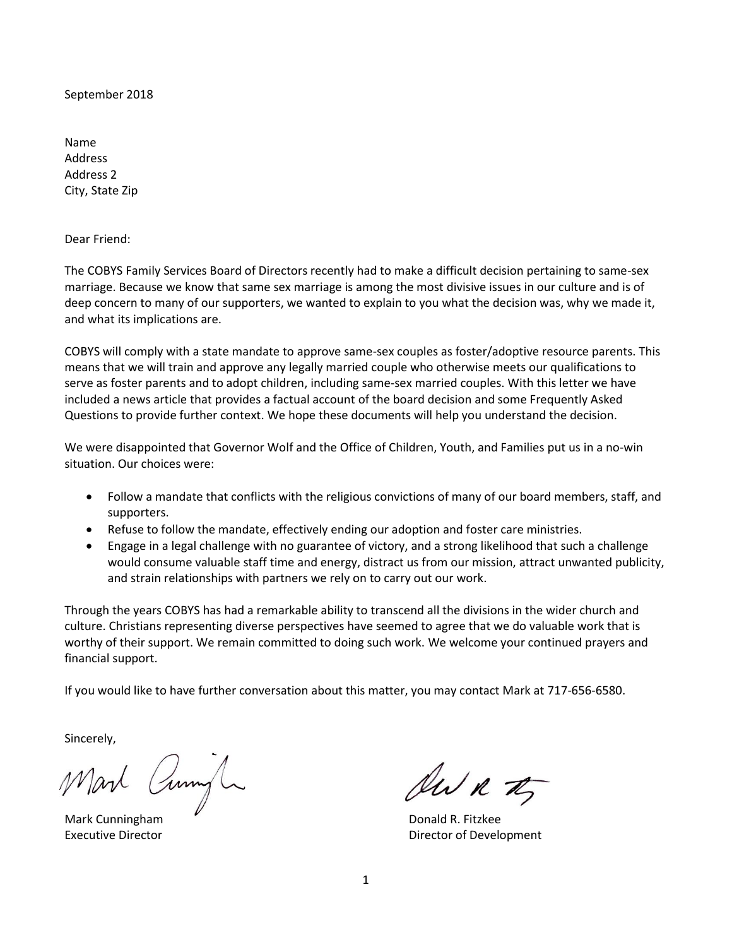September 2018

Name Address Address 2 City, State Zip

Dear Friend:

The COBYS Family Services Board of Directors recently had to make a difficult decision pertaining to same-sex marriage. Because we know that same sex marriage is among the most divisive issues in our culture and is of deep concern to many of our supporters, we wanted to explain to you what the decision was, why we made it, and what its implications are.

COBYS will comply with a state mandate to approve same-sex couples as foster/adoptive resource parents. This means that we will train and approve any legally married couple who otherwise meets our qualifications to serve as foster parents and to adopt children, including same-sex married couples. With this letter we have included a news article that provides a factual account of the board decision and some Frequently Asked Questions to provide further context. We hope these documents will help you understand the decision.

We were disappointed that Governor Wolf and the Office of Children, Youth, and Families put us in a no-win situation. Our choices were:

- Follow a mandate that conflicts with the religious convictions of many of our board members, staff, and supporters.
- Refuse to follow the mandate, effectively ending our adoption and foster care ministries.
- Engage in a legal challenge with no guarantee of victory, and a strong likelihood that such a challenge would consume valuable staff time and energy, distract us from our mission, attract unwanted publicity, and strain relationships with partners we rely on to carry out our work.

Through the years COBYS has had a remarkable ability to transcend all the divisions in the wider church and culture. Christians representing diverse perspectives have seemed to agree that we do valuable work that is worthy of their support. We remain committed to doing such work. We welcome your continued prayers and financial support.

If you would like to have further conversation about this matter, you may contact Mark at 717-656-6580.

Sincerely,

Mart Cumple

Mark Cunningham **Donald R. Fitzkee** 

AWR TT

Executive Director **Executive Director Director Director Director Director Director Director Director Director Director Director Director Director Director Director Director Director Direc**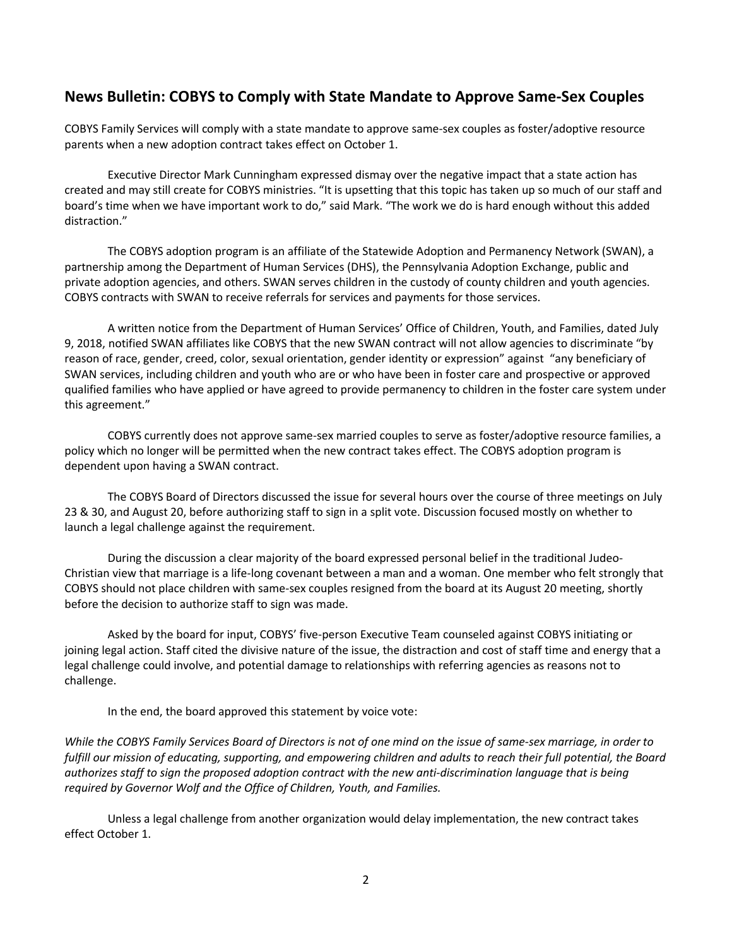# **News Bulletin: COBYS to Comply with State Mandate to Approve Same-Sex Couples**

COBYS Family Services will comply with a state mandate to approve same-sex couples as foster/adoptive resource parents when a new adoption contract takes effect on October 1.

Executive Director Mark Cunningham expressed dismay over the negative impact that a state action has created and may still create for COBYS ministries. "It is upsetting that this topic has taken up so much of our staff and board's time when we have important work to do," said Mark. "The work we do is hard enough without this added distraction."

The COBYS adoption program is an affiliate of the Statewide Adoption and Permanency Network (SWAN), a partnership among the Department of Human Services (DHS), the Pennsylvania Adoption Exchange, public and private adoption agencies, and others. SWAN serves children in the custody of county children and youth agencies. COBYS contracts with SWAN to receive referrals for services and payments for those services.

A written notice from the Department of Human Services' Office of Children, Youth, and Families, dated July 9, 2018, notified SWAN affiliates like COBYS that the new SWAN contract will not allow agencies to discriminate "by reason of race, gender, creed, color, sexual orientation, gender identity or expression" against "any beneficiary of SWAN services, including children and youth who are or who have been in foster care and prospective or approved qualified families who have applied or have agreed to provide permanency to children in the foster care system under this agreement."

COBYS currently does not approve same-sex married couples to serve as foster/adoptive resource families, a policy which no longer will be permitted when the new contract takes effect. The COBYS adoption program is dependent upon having a SWAN contract.

The COBYS Board of Directors discussed the issue for several hours over the course of three meetings on July 23 & 30, and August 20, before authorizing staff to sign in a split vote. Discussion focused mostly on whether to launch a legal challenge against the requirement.

During the discussion a clear majority of the board expressed personal belief in the traditional Judeo-Christian view that marriage is a life-long covenant between a man and a woman. One member who felt strongly that COBYS should not place children with same-sex couples resigned from the board at its August 20 meeting, shortly before the decision to authorize staff to sign was made.

Asked by the board for input, COBYS' five-person Executive Team counseled against COBYS initiating or joining legal action. Staff cited the divisive nature of the issue, the distraction and cost of staff time and energy that a legal challenge could involve, and potential damage to relationships with referring agencies as reasons not to challenge.

In the end, the board approved this statement by voice vote:

*While the COBYS Family Services Board of Directors is not of one mind on the issue of same-sex marriage, in order to fulfill our mission of educating, supporting, and empowering children and adults to reach their full potential, the Board authorizes staff to sign the proposed adoption contract with the new anti-discrimination language that is being required by Governor Wolf and the Office of Children, Youth, and Families.*

Unless a legal challenge from another organization would delay implementation, the new contract takes effect October 1.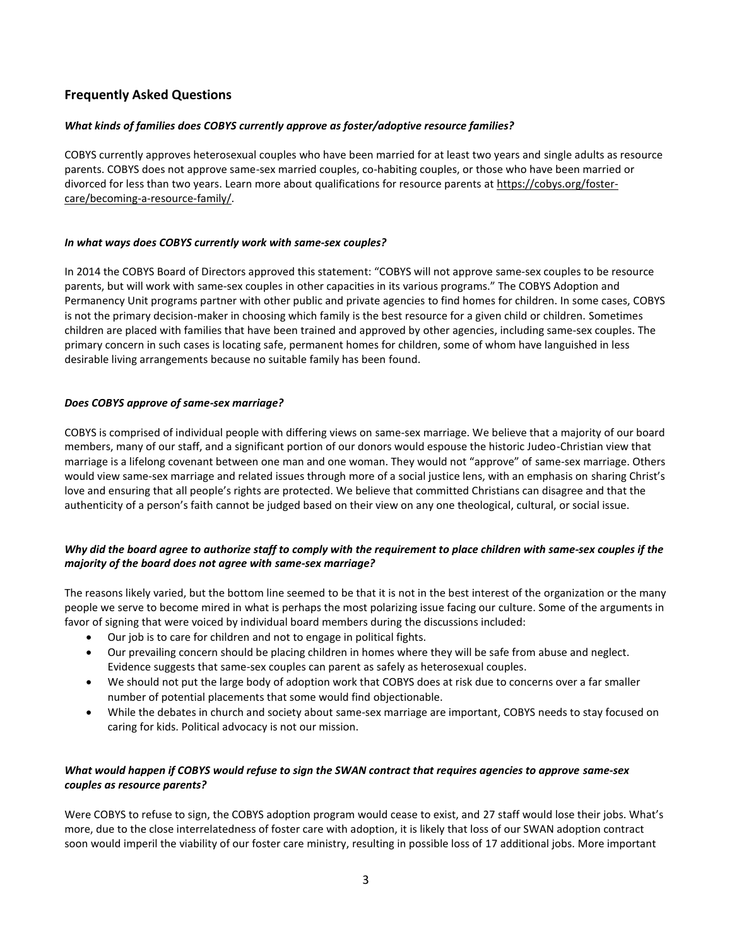## **Frequently Asked Questions**

## *What kinds of families does COBYS currently approve as foster/adoptive resource families?*

COBYS currently approves heterosexual couples who have been married for at least two years and single adults as resource parents. COBYS does not approve same-sex married couples, co-habiting couples, or those who have been married or divorced for less than two years. Learn more about qualifications for resource parents a[t https://cobys.org/foster](https://cobys.org/foster-care/becoming-a-resource-family/)[care/becoming-a-resource-family/.](https://cobys.org/foster-care/becoming-a-resource-family/)

## *In what ways does COBYS currently work with same-sex couples?*

In 2014 the COBYS Board of Directors approved this statement: "COBYS will not approve same-sex couples to be resource parents, but will work with same-sex couples in other capacities in its various programs." The COBYS Adoption and Permanency Unit programs partner with other public and private agencies to find homes for children. In some cases, COBYS is not the primary decision-maker in choosing which family is the best resource for a given child or children. Sometimes children are placed with families that have been trained and approved by other agencies, including same-sex couples. The primary concern in such cases is locating safe, permanent homes for children, some of whom have languished in less desirable living arrangements because no suitable family has been found.

## *Does COBYS approve of same-sex marriage?*

COBYS is comprised of individual people with differing views on same-sex marriage. We believe that a majority of our board members, many of our staff, and a significant portion of our donors would espouse the historic Judeo-Christian view that marriage is a lifelong covenant between one man and one woman. They would not "approve" of same-sex marriage. Others would view same-sex marriage and related issues through more of a social justice lens, with an emphasis on sharing Christ's love and ensuring that all people's rights are protected. We believe that committed Christians can disagree and that the authenticity of a person's faith cannot be judged based on their view on any one theological, cultural, or social issue.

## *Why did the board agree to authorize staff to comply with the requirement to place children with same-sex couples if the majority of the board does not agree with same-sex marriage?*

The reasons likely varied, but the bottom line seemed to be that it is not in the best interest of the organization or the many people we serve to become mired in what is perhaps the most polarizing issue facing our culture. Some of the arguments in favor of signing that were voiced by individual board members during the discussions included:

- Our job is to care for children and not to engage in political fights.
- Our prevailing concern should be placing children in homes where they will be safe from abuse and neglect. Evidence suggests that same-sex couples can parent as safely as heterosexual couples.
- We should not put the large body of adoption work that COBYS does at risk due to concerns over a far smaller number of potential placements that some would find objectionable.
- While the debates in church and society about same-sex marriage are important, COBYS needs to stay focused on caring for kids. Political advocacy is not our mission.

## *What would happen if COBYS would refuse to sign the SWAN contract that requires agencies to approve same-sex couples as resource parents?*

Were COBYS to refuse to sign, the COBYS adoption program would cease to exist, and 27 staff would lose their jobs. What's more, due to the close interrelatedness of foster care with adoption, it is likely that loss of our SWAN adoption contract soon would imperil the viability of our foster care ministry, resulting in possible loss of 17 additional jobs. More important